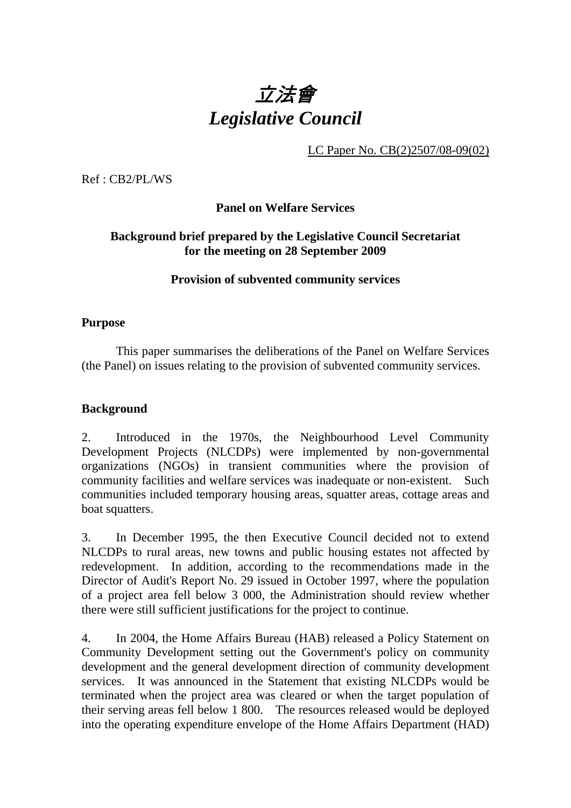

LC Paper No. CB(2)2507/08-09(02)

Ref : CB2/PL/WS

**Panel on Welfare Services** 

### **Background brief prepared by the Legislative Council Secretariat for the meeting on 28 September 2009**

**Provision of subvented community services** 

### **Purpose**

This paper summarises the deliberations of the Panel on Welfare Services (the Panel) on issues relating to the provision of subvented community services.

# **Background**

2. Introduced in the 1970s, the Neighbourhood Level Community Development Projects (NLCDPs) were implemented by non-governmental organizations (NGOs) in transient communities where the provision of community facilities and welfare services was inadequate or non-existent. Such communities included temporary housing areas, squatter areas, cottage areas and boat squatters.

3. In December 1995, the then Executive Council decided not to extend NLCDPs to rural areas, new towns and public housing estates not affected by redevelopment. In addition, according to the recommendations made in the Director of Audit's Report No. 29 issued in October 1997, where the population of a project area fell below 3 000, the Administration should review whether there were still sufficient justifications for the project to continue.

4. In 2004, the Home Affairs Bureau (HAB) released a Policy Statement on Community Development setting out the Government's policy on community development and the general development direction of community development services. It was announced in the Statement that existing NLCDPs would be terminated when the project area was cleared or when the target population of their serving areas fell below 1 800. The resources released would be deployed into the operating expenditure envelope of the Home Affairs Department (HAD)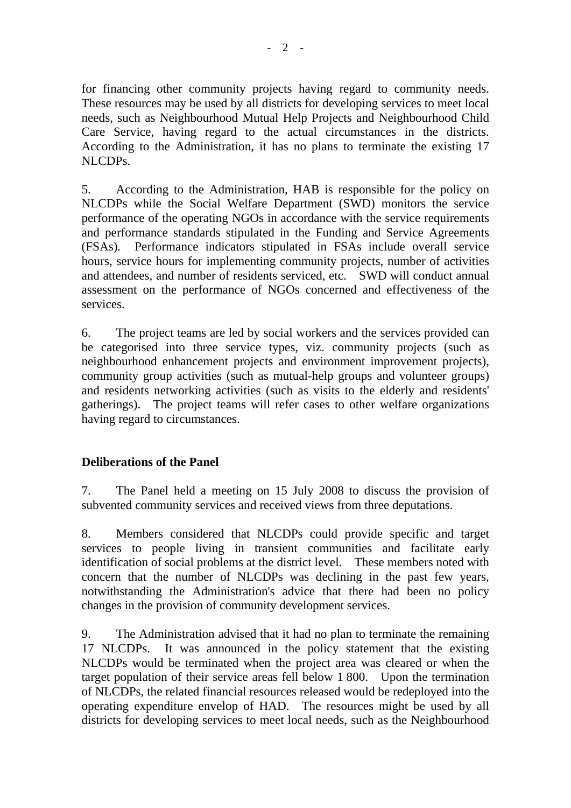for financing other community projects having regard to community needs. These resources may be used by all districts for developing services to meet local needs, such as Neighbourhood Mutual Help Projects and Neighbourhood Child Care Service, having regard to the actual circumstances in the districts. According to the Administration, it has no plans to terminate the existing 17 NLCDPs.

5. According to the Administration, HAB is responsible for the policy on NLCDPs while the Social Welfare Department (SWD) monitors the service performance of the operating NGOs in accordance with the service requirements and performance standards stipulated in the Funding and Service Agreements (FSAs). Performance indicators stipulated in FSAs include overall service hours, service hours for implementing community projects, number of activities and attendees, and number of residents serviced, etc. SWD will conduct annual assessment on the performance of NGOs concerned and effectiveness of the services.

6. The project teams are led by social workers and the services provided can be categorised into three service types, viz. community projects (such as neighbourhood enhancement projects and environment improvement projects), community group activities (such as mutual-help groups and volunteer groups) and residents networking activities (such as visits to the elderly and residents' gatherings). The project teams will refer cases to other welfare organizations having regard to circumstances.

# **Deliberations of the Panel**

7. The Panel held a meeting on 15 July 2008 to discuss the provision of subvented community services and received views from three deputations.

8. Members considered that NLCDPs could provide specific and target services to people living in transient communities and facilitate early identification of social problems at the district level. These members noted with concern that the number of NLCDPs was declining in the past few years, notwithstanding the Administration's advice that there had been no policy changes in the provision of community development services.

9. The Administration advised that it had no plan to terminate the remaining 17 NLCDPs. It was announced in the policy statement that the existing NLCDPs would be terminated when the project area was cleared or when the target population of their service areas fell below 1,800. Upon the termination of NLCDPs, the related financial resources released would be redeployed into the operating expenditure envelop of HAD. The resources might be used by all districts for developing services to meet local needs, such as the Neighbourhood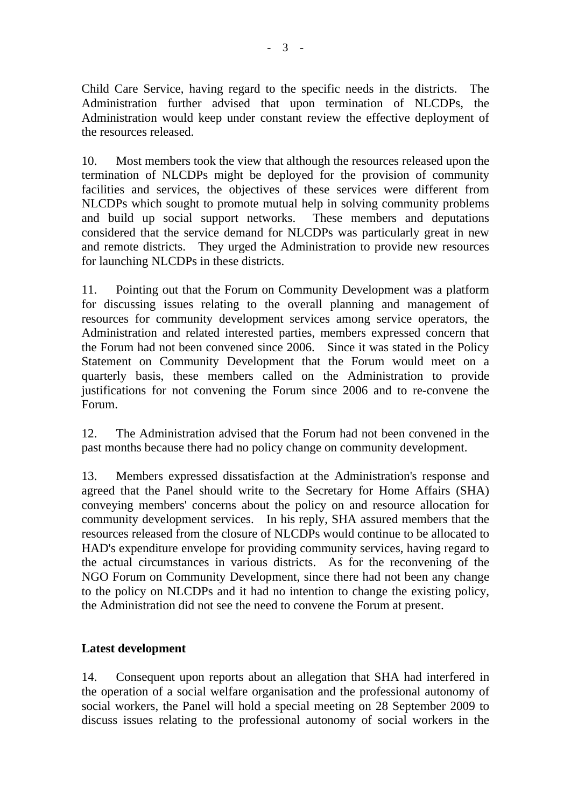Child Care Service, having regard to the specific needs in the districts. The Administration further advised that upon termination of NLCDPs, the Administration would keep under constant review the effective deployment of the resources released.

10. Most members took the view that although the resources released upon the termination of NLCDPs might be deployed for the provision of community facilities and services, the objectives of these services were different from NLCDPs which sought to promote mutual help in solving community problems and build up social support networks. These members and deputations considered that the service demand for NLCDPs was particularly great in new and remote districts. They urged the Administration to provide new resources for launching NLCDPs in these districts.

11. Pointing out that the Forum on Community Development was a platform for discussing issues relating to the overall planning and management of resources for community development services among service operators, the Administration and related interested parties, members expressed concern that the Forum had not been convened since 2006. Since it was stated in the Policy Statement on Community Development that the Forum would meet on a quarterly basis, these members called on the Administration to provide justifications for not convening the Forum since 2006 and to re-convene the Forum.

12. The Administration advised that the Forum had not been convened in the past months because there had no policy change on community development.

13. Members expressed dissatisfaction at the Administration's response and agreed that the Panel should write to the Secretary for Home Affairs (SHA) conveying members' concerns about the policy on and resource allocation for community development services. In his reply, SHA assured members that the resources released from the closure of NLCDPs would continue to be allocated to HAD's expenditure envelope for providing community services, having regard to the actual circumstances in various districts. As for the reconvening of the NGO Forum on Community Development, since there had not been any change to the policy on NLCDPs and it had no intention to change the existing policy, the Administration did not see the need to convene the Forum at present.

# **Latest development**

14. Consequent upon reports about an allegation that SHA had interfered in the operation of a social welfare organisation and the professional autonomy of social workers, the Panel will hold a special meeting on 28 September 2009 to discuss issues relating to the professional autonomy of social workers in the